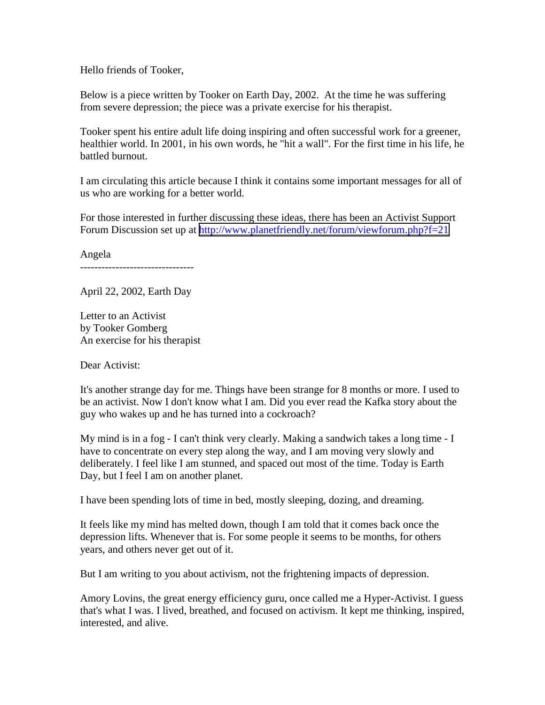Hello friends of Tooker,

Below is a piece written by Tooker on Earth Day, 2002. At the time he was suffering from severe depression; the piece was a private exercise for his therapist.

Tooker spent his entire adult life doing inspiring and often successful work for a greener, healthier world. In 2001, in his own words, he "hit a wall". For the first time in his life, he battled burnout.

I am circulating this article because I think it contains some important messages for all of us who are working for a better world.

For those interested in further discussing these ideas, there has been an Activist Support Forum Discussion set up at <http://www.planetfriendly.net/forum/viewforum.php?f=21>

Angela --------------------------------

April 22, 2002, Earth Day

Letter to an Activist by Tooker Gomberg An exercise for his therapist

Dear Activist:

It's another strange day for me. Things have been strange for 8 months or more. I used to be an activist. Now I don't know what I am. Did you ever read the Kafka story about the guy who wakes up and he has turned into a cockroach?

My mind is in a fog - I can't think very clearly. Making a sandwich takes a long time - I have to concentrate on every step along the way, and I am moving very slowly and deliberately. I feel like I am stunned, and spaced out most of the time. Today is Earth Day, but I feel I am on another planet.

I have been spending lots of time in bed, mostly sleeping, dozing, and dreaming.

It feels like my mind has melted down, though I am told that it comes back once the depression lifts. Whenever that is. For some people it seems to be months, for others years, and others never get out of it.

But I am writing to you about activism, not the frightening impacts of depression.

Amory Lovins, the great energy efficiency guru, once called me a Hyper-Activist. I guess that's what I was. I lived, breathed, and focused on activism. It kept me thinking, inspired, interested, and alive.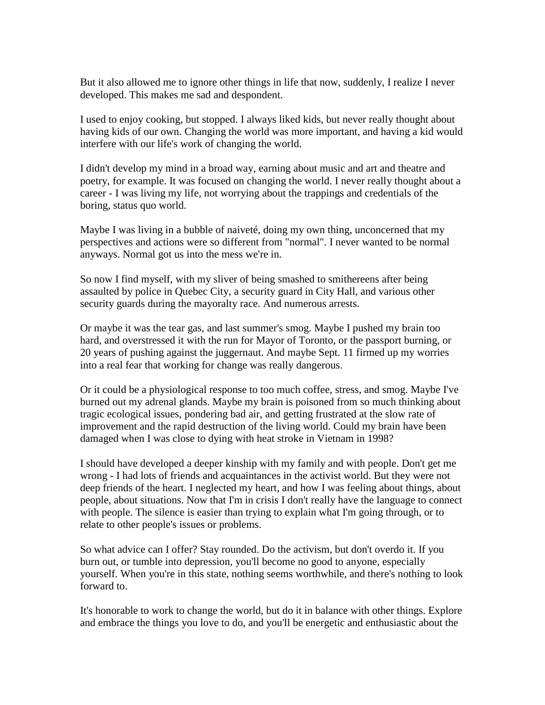But it also allowed me to ignore other things in life that now, suddenly, I realize I never developed. This makes me sad and despondent.

I used to enjoy cooking, but stopped. I always liked kids, but never really thought about having kids of our own. Changing the world was more important, and having a kid would interfere with our life's work of changing the world.

I didn't develop my mind in a broad way, earning about music and art and theatre and poetry, for example. It was focused on changing the world. I never really thought about a career - I was living my life, not worrying about the trappings and credentials of the boring, status quo world.

Maybe I was living in a bubble of naiveté, doing my own thing, unconcerned that my perspectives and actions were so different from "normal". I never wanted to be normal anyways. Normal got us into the mess we're in.

So now I find myself, with my sliver of being smashed to smithereens after being assaulted by police in Quebec City, a security guard in City Hall, and various other security guards during the mayoralty race. And numerous arrests.

Or maybe it was the tear gas, and last summer's smog. Maybe I pushed my brain too hard, and overstressed it with the run for Mayor of Toronto, or the passport burning, or 20 years of pushing against the juggernaut. And maybe Sept. 11 firmed up my worries into a real fear that working for change was really dangerous.

Or it could be a physiological response to too much coffee, stress, and smog. Maybe I've burned out my adrenal glands. Maybe my brain is poisoned from so much thinking about tragic ecological issues, pondering bad air, and getting frustrated at the slow rate of improvement and the rapid destruction of the living world. Could my brain have been damaged when I was close to dying with heat stroke in Vietnam in 1998?

I should have developed a deeper kinship with my family and with people. Don't get me wrong - I had lots of friends and acquaintances in the activist world. But they were not deep friends of the heart. I neglected my heart, and how I was feeling about things, about people, about situations. Now that I'm in crisis I don't really have the language to connect with people. The silence is easier than trying to explain what I'm going through, or to relate to other people's issues or problems.

So what advice can I offer? Stay rounded. Do the activism, but don't overdo it. If you burn out, or tumble into depression, you'll become no good to anyone, especially yourself. When you're in this state, nothing seems worthwhile, and there's nothing to look forward to.

It's honorable to work to change the world, but do it in balance with other things. Explore and embrace the things you love to do, and you'll be energetic and enthusiastic about the